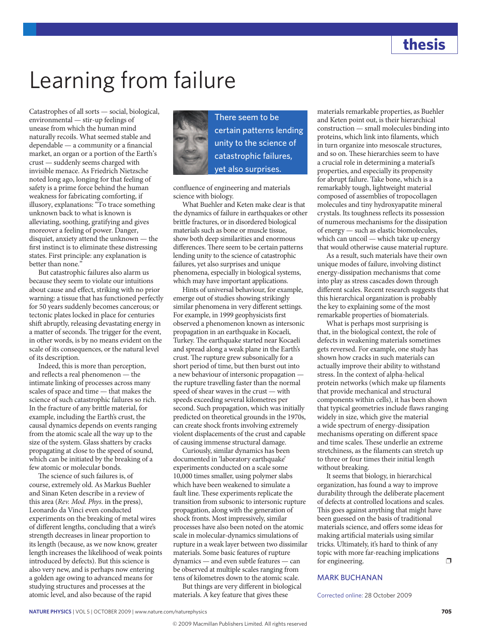## Learning from failure

Catastrophes of all sorts — social, biological, environmental — stir-up feelings of unease from which the human mind naturally recoils. What seemed stable and dependable — a community or a financial market, an organ or a portion of the Earth's crust — suddenly seems charged with invisible menace. As Friedrich Nietzsche noted long ago, longing for that feeling of safety is a prime force behind the human weakness for fabricating comforting, if illusory, explanations: "To trace something unknown back to what is known is alleviating, soothing, gratifying and gives moreover a feeling of power. Danger, disquiet, anxiety attend the unknown — the first instinct is to eliminate these distressing states. First principle: any explanation is better than none."

But catastrophic failures also alarm us because they seem to violate our intuitions about cause and effect, striking with no prior warning: a tissue that has functioned perfectly for 50 years suddenly becomes cancerous; or tectonic plates locked in place for centuries shift abruptly, releasing devastating energy in a matter of seconds. The trigger for the event, in other words, is by no means evident on the scale of its consequences, or the natural level of its description.

Indeed, this is more than perception, and reflects a real phenomenon — the intimate linking of processes across many scales of space and time — that makes the science of such catastrophic failures so rich. In the fracture of any brittle material, for example, including the Earth's crust, the causal dynamics depends on events ranging from the atomic scale all the way up to the size of the system. Glass shatters by cracks propagating at close to the speed of sound, which can be initiated by the breaking of a few atomic or molecular bonds.

The science of such failures is, of course, extremely old. As Markus Buehler and Sinan Keten describe in a review of this area (*Rev. Mod. Phys.* in the press), Leonardo da Vinci even conducted experiments on the breaking of metal wires of different lengths, concluding that a wire's strength decreases in linear proportion to its length (because, as we now know, greater length increases the likelihood of weak points introduced by defects). But this science is also very new, and is perhaps now entering a golden age owing to advanced means for studying structures and processes at the atomic level, and also because of the rapid



There seem to be certain patterns lending unity to the science of catastrophic failures, yet also surprises.

confluence of engineering and materials science with biology.

What Buehler and Keten make clear is that the dynamics of failure in earthquakes or other brittle fractures, or in disordered biological materials such as bone or muscle tissue, show both deep similarities and enormous differences. There seem to be certain patterns lending unity to the science of catastrophic failures, yet also surprises and unique phenomena, especially in biological systems, which may have important applications.

Hints of universal behaviour, for example, emerge out of studies showing strikingly similar phenomena in very different settings. For example, in 1999 geophysicists first observed a phenomenon known as intersonic propagation in an earthquake in Kocaeli, Turkey. The earthquake started near Kocaeli and spread along a weak plane in the Earth's crust. The rupture grew subsonically for a short period of time, but then burst out into a new behaviour of intersonic propagation the rupture travelling faster than the normal speed of shear waves in the crust — with speeds exceeding several kilometres per second. Such propagation, which was initially predicted on theoretical grounds in the 1970s, can create shock fronts involving extremely violent displacements of the crust and capable of causing immense structural damage.

Curiously, similar dynamics has been documented in 'laboratory earthquake' experiments conducted on a scale some 10,000 times smaller, using polymer slabs which have been weakened to simulate a fault line. These experiments replicate the transition from subsonic to intersonic rupture propagation, along with the generation of shock fronts. Most impressively, similar processes have also been noted on the atomic scale in molecular-dynamics simulations of rupture in a weak layer between two dissimilar materials. Some basic features of rupture dynamics — and even subtle features — can be observed at multiple scales ranging from tens of kilometres down to the atomic scale.

But things are very different in biological materials. A key feature that gives these

materials remarkable properties, as Buehler and Keten point out, is their hierarchical construction — small molecules binding into proteins, which link into filaments, which in turn organize into mesoscale structures, and so on. These hierarchies seem to have a crucial role in determining a material's properties, and especially its propensity for abrupt failure. Take bone, which is a remarkably tough, lightweight material composed of assemblies of tropocollagen molecules and tiny hydroxyapatite mineral crystals. Its toughness reflects its possession of numerous mechanisms for the dissipation of energy — such as elastic biomolecules, which can uncoil — which take up energy that would otherwise cause material rupture.

As a result, such materials have their own unique modes of failure, involving distinct energy-dissipation mechanisms that come into play as stress cascades down through different scales. Recent research suggests that this hierarchical organization is probably the key to explaining some of the most remarkable properties of biomaterials.

What is perhaps most surprising is that, in the biological context, the role of defects in weakening materials sometimes gets reversed. For example, one study has shown how cracks in such materials can actually improve their ability to withstand stress. In the context of alpha-helical protein networks (which make up filaments that provide mechanical and structural components within cells), it has been shown that typical geometries include flaws ranging widely in size, which give the material a wide spectrum of energy-dissipation mechanisms operating on different space and time scales. These underlie an extreme stretchiness, as the filaments can stretch up to three or four times their initial length without breaking.

It seems that biology, in hierarchical organization, has found a way to improve durability through the deliberate placement of defects at controlled locations and scales. This goes against anything that might have been guessed on the basis of traditional materials science, and offers some ideas for making artificial materials using similar tricks. Ultimately, it's hard to think of any topic with more far-reaching implications for engineering.  $\Box$ 

## MARK BUCHANAN

Corrected online: 28 October 2009